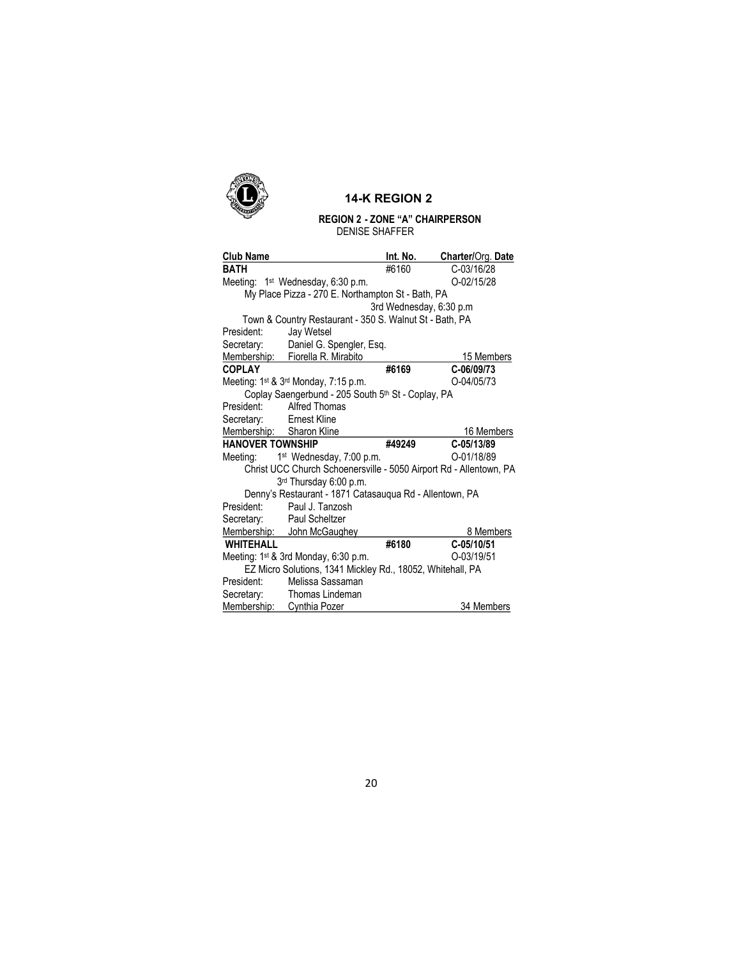

## 14-K REGION 2

## REGION 2 - ZONE "A" CHAIRPERSON DENISE SHAFFER

| <b>Club Name</b>                                           |                                                                    | Int. No.                 | Charter/Org. Date |  |
|------------------------------------------------------------|--------------------------------------------------------------------|--------------------------|-------------------|--|
| <b>BATH</b>                                                |                                                                    | #6160                    | C-03/16/28        |  |
|                                                            | Meeting: 1 <sup>st</sup> Wednesday, 6:30 p.m.                      |                          | O-02/15/28        |  |
| My Place Pizza - 270 E. Northampton St - Bath, PA          |                                                                    |                          |                   |  |
|                                                            |                                                                    | 3rd Wednesday, 6:30 p.m. |                   |  |
|                                                            | Town & Country Restaurant - 350 S. Walnut St - Bath, PA            |                          |                   |  |
| President:                                                 | Jay Wetsel                                                         |                          |                   |  |
| Secretary:                                                 | Daniel G. Spengler, Esq.                                           |                          |                   |  |
|                                                            | Membership: Fiorella R. Mirabito                                   |                          | 15 Members        |  |
| <b>COPLAY</b>                                              |                                                                    | #6169                    | C-06/09/73        |  |
|                                                            | Meeting: 1 <sup>st</sup> & 3 <sup>rd</sup> Monday, 7:15 p.m.       |                          | O-04/05/73        |  |
| Coplay Saengerbund - 205 South 5th St - Coplay, PA         |                                                                    |                          |                   |  |
| President:                                                 | Alfred Thomas                                                      |                          |                   |  |
| Secretary:                                                 | Ernest Kline                                                       |                          |                   |  |
| Membership: Sharon Kline                                   |                                                                    |                          | 16 Members        |  |
| <b>HANOVER TOWNSHIP</b>                                    |                                                                    | #49249                   | C-05/13/89        |  |
|                                                            | Meeting: 1 <sup>st</sup> Wednesday, 7:00 p.m.                      |                          | O-01/18/89        |  |
|                                                            | Christ UCC Church Schoenersville - 5050 Airport Rd - Allentown, PA |                          |                   |  |
|                                                            | 3rd Thursday 6:00 p.m.                                             |                          |                   |  |
| Denny's Restaurant - 1871 Catasauqua Rd - Allentown, PA    |                                                                    |                          |                   |  |
| President:                                                 | Paul J. Tanzosh                                                    |                          |                   |  |
| Secretary:                                                 | Paul Scheltzer                                                     |                          |                   |  |
|                                                            | Membership: John McGaughey                                         |                          | 8 Members         |  |
| <b>WHITEHALL</b>                                           |                                                                    | #6180                    | C-05/10/51        |  |
|                                                            | Meeting: 1 <sup>st</sup> & 3rd Monday, 6:30 p.m.                   |                          | O-03/19/51        |  |
| EZ Micro Solutions, 1341 Mickley Rd., 18052, Whitehall, PA |                                                                    |                          |                   |  |
| President:                                                 | Melissa Sassaman                                                   |                          |                   |  |
| Secretary:                                                 | Thomas Lindeman                                                    |                          |                   |  |
| Membership:                                                | <b>Cynthia Pozer</b>                                               |                          | 34 Members        |  |